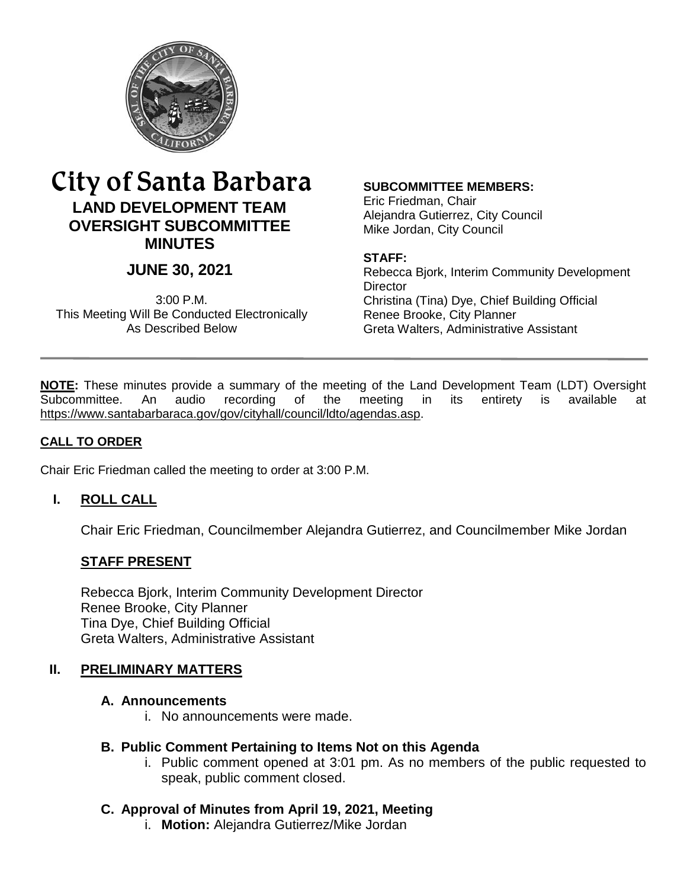

# City of Santa Barbara **LAND DEVELOPMENT TEAM OVERSIGHT SUBCOMMITTEE MINUTES**

# **JUNE 30, 2021**

3:00 P.M. This Meeting Will Be Conducted Electronically As Described Below

#### **SUBCOMMITTEE MEMBERS:**

Eric Friedman, Chair Alejandra Gutierrez, City Council Mike Jordan, City Council

#### **STAFF:**

Rebecca Bjork, Interim Community Development **Director** Christina (Tina) Dye, Chief Building Official Renee Brooke, City Planner Greta Walters, Administrative Assistant

**NOTE:** These minutes provide a summary of the meeting of the Land Development Team (LDT) Oversight Subcommittee. An audio recording of the meeting in its entirety is available at [https://www.santabarbaraca.gov/gov/cityhall/council/ldto/agendas.asp.](https://www.santabarbaraca.gov/gov/cityhall/council/ldto/agendas.asp)

#### **CALL TO ORDER**

Chair Eric Friedman called the meeting to order at 3:00 P.M.

# **I. ROLL CALL**

Chair Eric Friedman, Councilmember Alejandra Gutierrez, and Councilmember Mike Jordan

#### **STAFF PRESENT**

Rebecca Bjork, Interim Community Development Director Renee Brooke, City Planner Tina Dye, Chief Building Official Greta Walters, Administrative Assistant

#### **II. PRELIMINARY MATTERS**

#### **A. Announcements**

i. No announcements were made.

#### **B. Public Comment Pertaining to Items Not on this Agenda**

i. Public comment opened at 3:01 pm. As no members of the public requested to speak, public comment closed.

#### **C. Approval of Minutes from April 19, 2021, Meeting**

i. **Motion:** Alejandra Gutierrez/Mike Jordan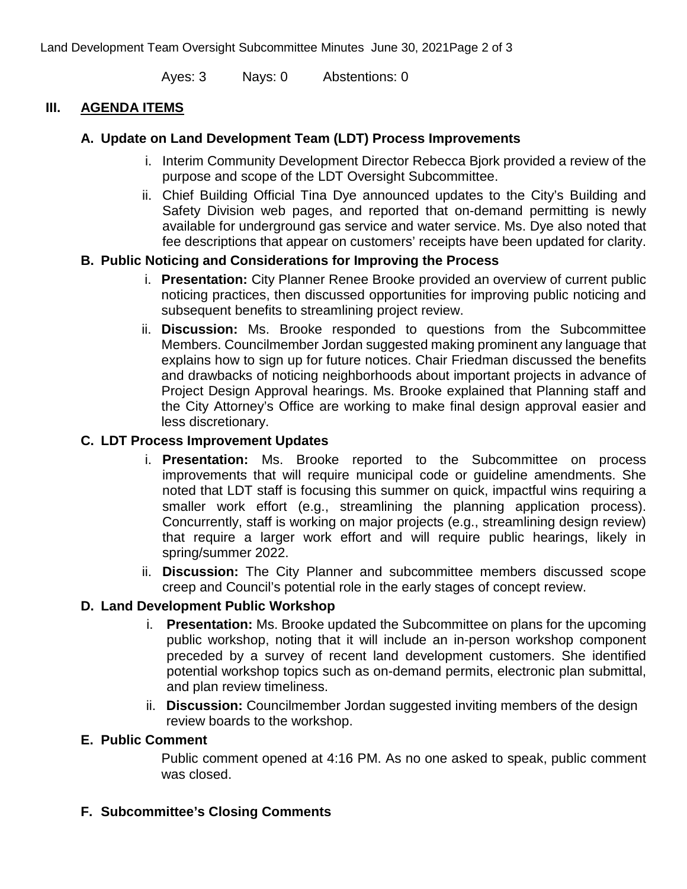Land Development Team Oversight Subcommittee Minutes June 30, 2021Page 2 of 3

Ayes: 3 Nays: 0 Abstentions: 0

#### **III. AGENDA ITEMS**

# **A. Update on Land Development Team (LDT) Process Improvements**

- i. Interim Community Development Director Rebecca Bjork provided a review of the purpose and scope of the LDT Oversight Subcommittee.
- ii. Chief Building Official Tina Dye announced updates to the City's Building and Safety Division web pages, and reported that on-demand permitting is newly available for underground gas service and water service. Ms. Dye also noted that fee descriptions that appear on customers' receipts have been updated for clarity.

#### **B. Public Noticing and Considerations for Improving the Process**

- i. **Presentation:** City Planner Renee Brooke provided an overview of current public noticing practices, then discussed opportunities for improving public noticing and subsequent benefits to streamlining project review.
- ii. **Discussion:** Ms. Brooke responded to questions from the Subcommittee Members. Councilmember Jordan suggested making prominent any language that explains how to sign up for future notices. Chair Friedman discussed the benefits and drawbacks of noticing neighborhoods about important projects in advance of Project Design Approval hearings. Ms. Brooke explained that Planning staff and the City Attorney's Office are working to make final design approval easier and less discretionary.

# **C. LDT Process Improvement Updates**

- i. **Presentation:** Ms. Brooke reported to the Subcommittee on process improvements that will require municipal code or guideline amendments. She noted that LDT staff is focusing this summer on quick, impactful wins requiring a smaller work effort (e.g., streamlining the planning application process). Concurrently, staff is working on major projects (e.g., streamlining design review) that require a larger work effort and will require public hearings, likely in spring/summer 2022.
- ii. **Discussion:** The City Planner and subcommittee members discussed scope creep and Council's potential role in the early stages of concept review.

# **D. Land Development Public Workshop**

- i. **Presentation:** Ms. Brooke updated the Subcommittee on plans for the upcoming public workshop, noting that it will include an in-person workshop component preceded by a survey of recent land development customers. She identified potential workshop topics such as on-demand permits, electronic plan submittal, and plan review timeliness.
- ii. **Discussion:** Councilmember Jordan suggested inviting members of the design review boards to the workshop.

#### **E. Public Comment**

Public comment opened at 4:16 PM. As no one asked to speak, public comment was closed.

# **F. Subcommittee's Closing Comments**